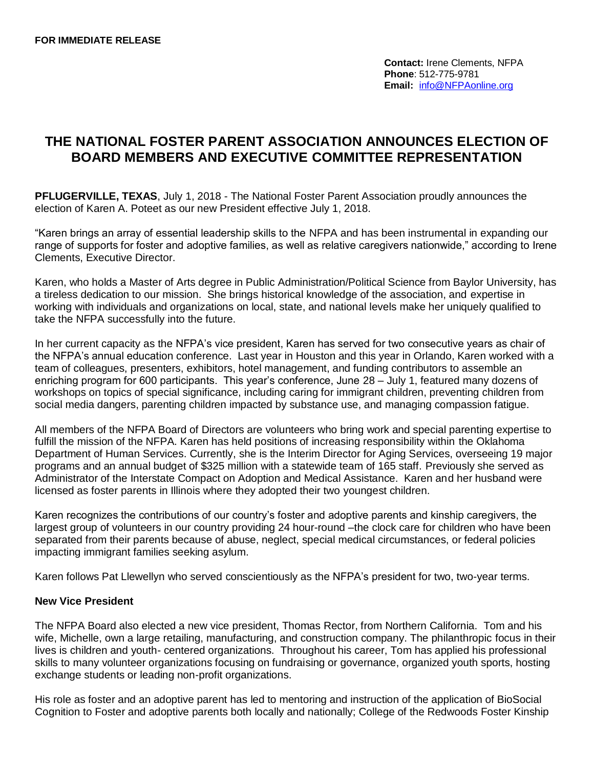**Contact:** Irene Clements, NFPA **Phone**: 512-775-9781 **Email:** [info@NFPAonline.org](mailto:info@NFPAonline.org)

## **THE NATIONAL FOSTER PARENT ASSOCIATION ANNOUNCES ELECTION OF BOARD MEMBERS AND EXECUTIVE COMMITTEE REPRESENTATION**

**PFLUGERVILLE, TEXAS**, July 1, 2018 - The National Foster Parent Association proudly announces the election of Karen A. Poteet as our new President effective July 1, 2018.

"Karen brings an array of essential leadership skills to the NFPA and has been instrumental in expanding our range of supports for foster and adoptive families, as well as relative caregivers nationwide," according to Irene Clements, Executive Director.

Karen, who holds a Master of Arts degree in Public Administration/Political Science from Baylor University, has a tireless dedication to our mission. She brings historical knowledge of the association, and expertise in working with individuals and organizations on local, state, and national levels make her uniquely qualified to take the NFPA successfully into the future.

In her current capacity as the NFPA's vice president, Karen has served for two consecutive years as chair of the NFPA's annual education conference. Last year in Houston and this year in Orlando, Karen worked with a team of colleagues, presenters, exhibitors, hotel management, and funding contributors to assemble an enriching program for 600 participants. This year's conference, June 28 – July 1, featured many dozens of workshops on topics of special significance, including caring for immigrant children, preventing children from social media dangers, parenting children impacted by substance use, and managing compassion fatigue.

All members of the NFPA Board of Directors are volunteers who bring work and special parenting expertise to fulfill the mission of the NFPA. Karen has held positions of increasing responsibility within the Oklahoma Department of Human Services. Currently, she is the Interim Director for Aging Services, overseeing 19 major programs and an annual budget of \$325 million with a statewide team of 165 staff. Previously she served as Administrator of the Interstate Compact on Adoption and Medical Assistance. Karen and her husband were licensed as foster parents in Illinois where they adopted their two youngest children.

Karen recognizes the contributions of our country's foster and adoptive parents and kinship caregivers, the largest group of volunteers in our country providing 24 hour-round –the clock care for children who have been separated from their parents because of abuse, neglect, special medical circumstances, or federal policies impacting immigrant families seeking asylum.

Karen follows Pat Llewellyn who served conscientiously as the NFPA's president for two, two-year terms.

## **New Vice President**

The NFPA Board also elected a new vice president, Thomas Rector, from Northern California. Tom and his wife, Michelle, own a large retailing, manufacturing, and construction company. The philanthropic focus in their lives is children and youth- centered organizations. Throughout his career, Tom has applied his professional skills to many volunteer organizations focusing on fundraising or governance, organized youth sports, hosting exchange students or leading non-profit organizations.

His role as foster and an adoptive parent has led to mentoring and instruction of the application of BioSocial Cognition to Foster and adoptive parents both locally and nationally; College of the Redwoods Foster Kinship